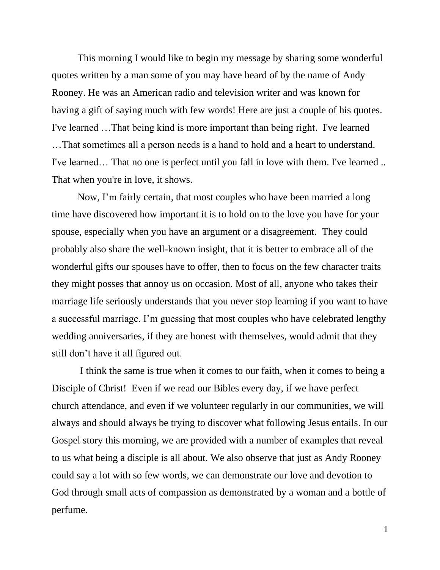This morning I would like to begin my message by sharing some wonderful quotes written by a man some of you may have heard of by the name of Andy Rooney. He was an American radio and television writer and was known for having a gift of saying much with few words! Here are just a couple of his quotes. I've learned …That being kind is more important than being right. I've learned …That sometimes all a person needs is a hand to hold and a heart to understand. I've learned… That no one is perfect until you fall in love with them. I've learned .. That when you're in love, it shows.

Now, I'm fairly certain, that most couples who have been married a long time have discovered how important it is to hold on to the love you have for your spouse, especially when you have an argument or a disagreement. They could probably also share the well-known insight, that it is better to embrace all of the wonderful gifts our spouses have to offer, then to focus on the few character traits they might posses that annoy us on occasion. Most of all, anyone who takes their marriage life seriously understands that you never stop learning if you want to have a successful marriage. I'm guessing that most couples who have celebrated lengthy wedding anniversaries, if they are honest with themselves, would admit that they still don't have it all figured out.

I think the same is true when it comes to our faith, when it comes to being a Disciple of Christ! Even if we read our Bibles every day, if we have perfect church attendance, and even if we volunteer regularly in our communities, we will always and should always be trying to discover what following Jesus entails. In our Gospel story this morning, we are provided with a number of examples that reveal to us what being a disciple is all about. We also observe that just as Andy Rooney could say a lot with so few words, we can demonstrate our love and devotion to God through small acts of compassion as demonstrated by a woman and a bottle of perfume.

1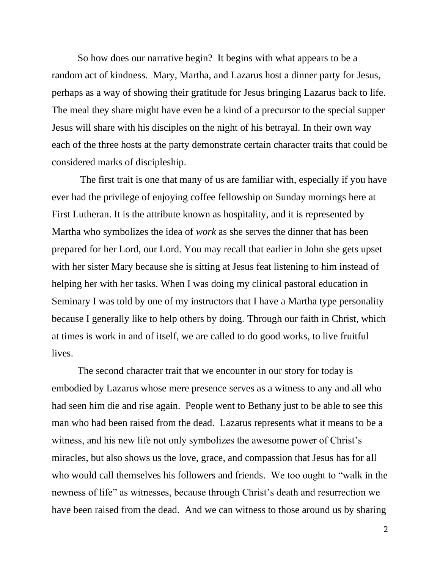So how does our narrative begin? It begins with what appears to be a random act of kindness. Mary, Martha, and Lazarus host a dinner party for Jesus, perhaps as a way of showing their gratitude for Jesus bringing Lazarus back to life. The meal they share might have even be a kind of a precursor to the special supper Jesus will share with his disciples on the night of his betrayal. In their own way each of the three hosts at the party demonstrate certain character traits that could be considered marks of discipleship.

The first trait is one that many of us are familiar with, especially if you have ever had the privilege of enjoying coffee fellowship on Sunday mornings here at First Lutheran. It is the attribute known as hospitality, and it is represented by Martha who symbolizes the idea of *work* as she serves the dinner that has been prepared for her Lord, our Lord. You may recall that earlier in John she gets upset with her sister Mary because she is sitting at Jesus feat listening to him instead of helping her with her tasks. When I was doing my clinical pastoral education in Seminary I was told by one of my instructors that I have a Martha type personality because I generally like to help others by doing. Through our faith in Christ, which at times is work in and of itself, we are called to do good works, to live fruitful lives.

The second character trait that we encounter in our story for today is embodied by Lazarus whose mere presence serves as a witness to any and all who had seen him die and rise again. People went to Bethany just to be able to see this man who had been raised from the dead. Lazarus represents what it means to be a witness, and his new life not only symbolizes the awesome power of Christ's miracles, but also shows us the love, grace, and compassion that Jesus has for all who would call themselves his followers and friends. We too ought to "walk in the newness of life" as witnesses, because through Christ's death and resurrection we have been raised from the dead. And we can witness to those around us by sharing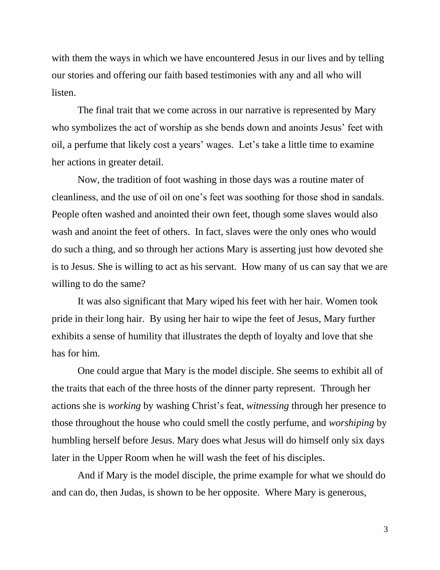with them the ways in which we have encountered Jesus in our lives and by telling our stories and offering our faith based testimonies with any and all who will listen.

The final trait that we come across in our narrative is represented by Mary who symbolizes the act of worship as she bends down and anoints Jesus' feet with oil, a perfume that likely cost a years' wages. Let's take a little time to examine her actions in greater detail.

Now, the tradition of foot washing in those days was a routine mater of cleanliness, and the use of oil on one's feet was soothing for those shod in sandals. People often washed and anointed their own feet, though some slaves would also wash and anoint the feet of others. In fact, slaves were the only ones who would do such a thing, and so through her actions Mary is asserting just how devoted she is to Jesus. She is willing to act as his servant. How many of us can say that we are willing to do the same?

It was also significant that Mary wiped his feet with her hair. Women took pride in their long hair. By using her hair to wipe the feet of Jesus, Mary further exhibits a sense of humility that illustrates the depth of loyalty and love that she has for him.

One could argue that Mary is the model disciple. She seems to exhibit all of the traits that each of the three hosts of the dinner party represent. Through her actions she is *working* by washing Christ's feat, *witnessing* through her presence to those throughout the house who could smell the costly perfume, and *worshiping* by humbling herself before Jesus. Mary does what Jesus will do himself only six days later in the Upper Room when he will wash the feet of his disciples.

And if Mary is the model disciple, the prime example for what we should do and can do, then Judas, is shown to be her opposite. Where Mary is generous,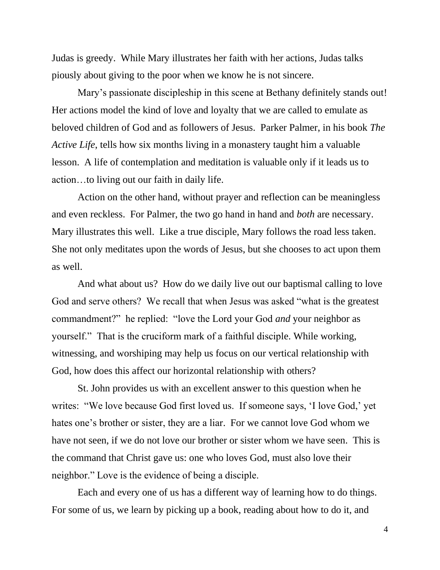Judas is greedy. While Mary illustrates her faith with her actions, Judas talks piously about giving to the poor when we know he is not sincere.

Mary's passionate discipleship in this scene at Bethany definitely stands out! Her actions model the kind of love and loyalty that we are called to emulate as beloved children of God and as followers of Jesus. Parker Palmer, in his book *The Active Life*, tells how six months living in a monastery taught him a valuable lesson. A life of contemplation and meditation is valuable only if it leads us to action…to living out our faith in daily life.

Action on the other hand, without prayer and reflection can be meaningless and even reckless. For Palmer, the two go hand in hand and *both* are necessary. Mary illustrates this well. Like a true disciple, Mary follows the road less taken. She not only meditates upon the words of Jesus, but she chooses to act upon them as well.

And what about us? How do we daily live out our baptismal calling to love God and serve others? We recall that when Jesus was asked "what is the greatest commandment?" he replied: "love the Lord your God *and* your neighbor as yourself." That is the cruciform mark of a faithful disciple. While working, witnessing, and worshiping may help us focus on our vertical relationship with God, how does this affect our horizontal relationship with others?

St. John provides us with an excellent answer to this question when he writes: "We love because God first loved us. If someone says, 'I love God,' yet hates one's brother or sister, they are a liar. For we cannot love God whom we have not seen, if we do not love our brother or sister whom we have seen. This is the command that Christ gave us: one who loves God, must also love their neighbor." Love is the evidence of being a disciple.

Each and every one of us has a different way of learning how to do things. For some of us, we learn by picking up a book, reading about how to do it, and